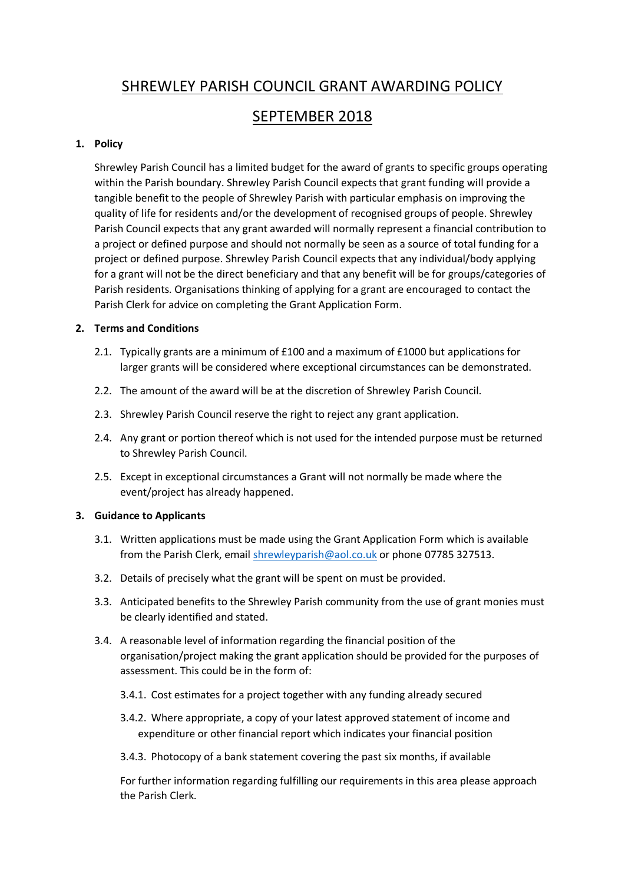# SHREWLEY PARISH COUNCIL GRANT AWARDING POLICY

## SEPTEMBER 2018

### **1. Policy**

Shrewley Parish Council has a limited budget for the award of grants to specific groups operating within the Parish boundary. Shrewley Parish Council expects that grant funding will provide a tangible benefit to the people of Shrewley Parish with particular emphasis on improving the quality of life for residents and/or the development of recognised groups of people. Shrewley Parish Council expects that any grant awarded will normally represent a financial contribution to a project or defined purpose and should not normally be seen as a source of total funding for a project or defined purpose. Shrewley Parish Council expects that any individual/body applying for a grant will not be the direct beneficiary and that any benefit will be for groups/categories of Parish residents. Organisations thinking of applying for a grant are encouraged to contact the Parish Clerk for advice on completing the Grant Application Form.

### **2. Terms and Conditions**

- 2.1. Typically grants are a minimum of £100 and a maximum of £1000 but applications for larger grants will be considered where exceptional circumstances can be demonstrated.
- 2.2. The amount of the award will be at the discretion of Shrewley Parish Council.
- 2.3. Shrewley Parish Council reserve the right to reject any grant application.
- 2.4. Any grant or portion thereof which is not used for the intended purpose must be returned to Shrewley Parish Council.
- 2.5. Except in exceptional circumstances a Grant will not normally be made where the event/project has already happened.

#### **3. Guidance to Applicants**

- 3.1. Written applications must be made using the Grant Application Form which is available from the Parish Clerk, email [shrewleyparish@aol.co.uk](mailto:shrewleyparish@aol.co.uk) or phone 07785 327513.
- 3.2. Details of precisely what the grant will be spent on must be provided.
- 3.3. Anticipated benefits to the Shrewley Parish community from the use of grant monies must be clearly identified and stated.
- 3.4. A reasonable level of information regarding the financial position of the organisation/project making the grant application should be provided for the purposes of assessment. This could be in the form of:
	- 3.4.1. Cost estimates for a project together with any funding already secured
	- 3.4.2. Where appropriate, a copy of your latest approved statement of income and expenditure or other financial report which indicates your financial position
	- 3.4.3. Photocopy of a bank statement covering the past six months, if available

For further information regarding fulfilling our requirements in this area please approach the Parish Clerk.